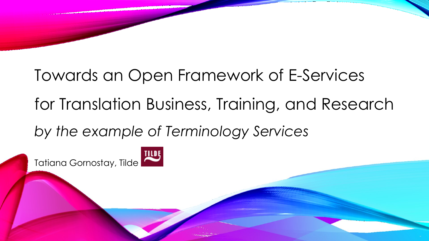Towards an Open Framework of E-Services for Translation Business, Training, and Research

*by the example of Terminology Services*

Tatiana Gornostay, Tilde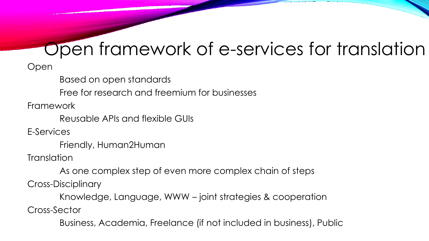# Open framework of e-services for translation

Open

Based on open standards

Free for research and freemium for businesses

Framework

Reusable APIs and flexible GUIs

E-Services

Friendly, Human2Human

**Translation** 

As one complex step of even more complex chain of steps

Cross-Disciplinary

Knowledge, Language, WWW – joint strategies & cooperation

Cross-Sector

Business, Academia, Freelance (if not included in business), Public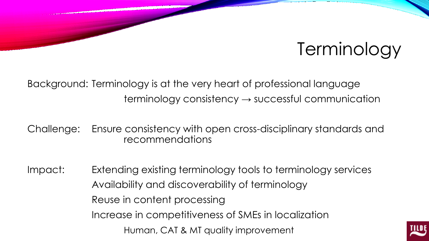## Terminology

Background: Terminology is at the very heart of professional language  $terminology consistency \rightarrow successful communication$ 

Challenge: Ensure consistency with open cross-disciplinary standards and recommendations

Impact: Extending existing terminology tools to terminology services Availability and discoverability of terminology Reuse in content processing Increase in competitiveness of SMEs in localization Human, CAT & MT quality improvement

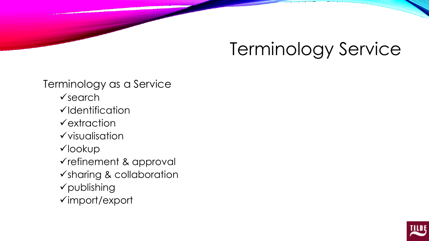# Terminology Service

Terminology as a Service  $\checkmark$ search  $\checkmark$ Identification  $\checkmark$  extraction  $\checkmark$  visualisation lookup refinement & approval sharing & collaboration publishing import/export

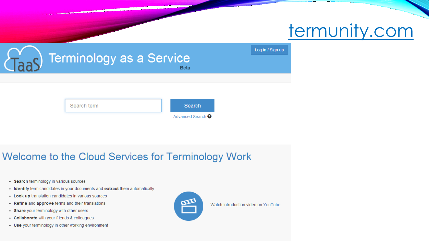

| Tas | Terminology as a Service<br><b>Beta</b> |  |                              |  | Log in / Sign up |
|-----|-----------------------------------------|--|------------------------------|--|------------------|
|     |                                         |  |                              |  |                  |
|     |                                         |  |                              |  |                  |
|     | Search term                             |  | Search                       |  |                  |
|     |                                         |  | Advanced Search <sup>O</sup> |  |                  |

#### Welcome to the Cloud Services for Terminology Work

- Search terminology in various sources
- Identify term candidates in your documents and extract them automatically
- Look up translation candidates in various sources
- Refine and approve terms and their translations
- Share your terminology with other users
- Collaborate with your friends & colleagues
- Use your terminology in other working environment



Watch introduction video on YouTube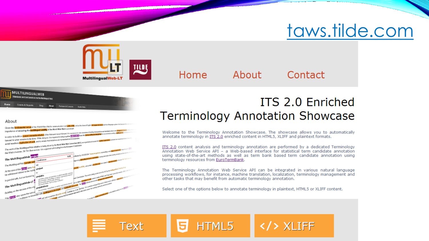### taws.tilde.com



Home

About

Contact





#### ITS 2.0 Enriched **Terminology Annotation Showcase**

Welcome to the Terminology Annotation Showcase. The showcase allows you to automatically annotate terminology in ITS 2.0 enriched content in HTML5, XLIFF and plaintext formats.

ITS 2.0 content analysis and terminology annotation are performed by a dedicated Terminology Annotation Web Service API - a Web-based interface for statistical term candidate annotation using state-of-the-art methods as well as term bank based term candidate annotation using terminology resources from EuroTermBank.

The Terminology Annotation Web Service API can be integrated in various natural language processing workflows, for instance, machine translation, localization, terminology management and other tasks that may benefit from automatic terminology annotation.

Select one of the options below to annotate terminology in plaintext, HTML5 or XLIFF content.

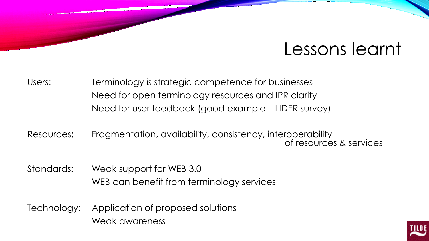### Lessons learnt

Users: Terminology is strategic competence for businesses Need for open terminology resources and IPR clarity Need for user feedback (good example – LIDER survey)

Resources: Fragmentation, availability, consistency, interoperability of resources & services

Standards: Weak support for WEB 3.0 WEB can benefit from terminology services

Technology: Application of proposed solutions Weak awareness